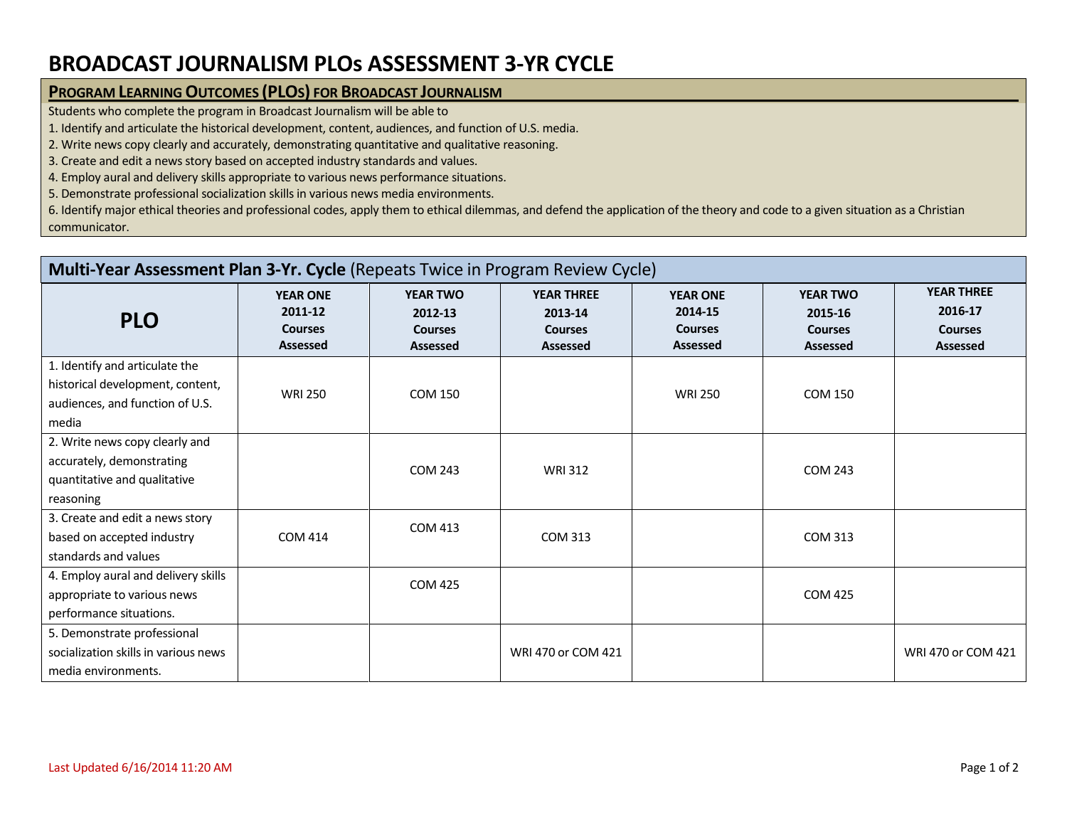## **BROADCAST JOURNALISM PLOs ASSESSMENT 3-YR CYCLE**

## **PROGRAM LEARNING OUTCOMES (PLOS) FOR BROADCAST JOURNALISM**

Students who complete the program in Broadcast Journalism will be able to

1. Identify and articulate the historical development, content, audiences, and function of U.S. media.

2. Write news copy clearly and accurately, demonstrating quantitative and qualitative reasoning.

3. Create and edit a news story based on accepted industry standards and values.

4. Employ aural and delivery skills appropriate to various news performance situations.

5. Demonstrate professional socialization skills in various news media environments.

6. Identify major ethical theories and professional codes, apply them to ethical dilemmas, and defend the application of the theory and code to a given situation as a Christian communicator.

| Multi-Year Assessment Plan 3-Yr. Cycle (Repeats Twice in Program Review Cycle)                                 |                                                                 |                                                                 |                                                                   |                                                                 |                                                                 |                                                            |  |  |  |  |
|----------------------------------------------------------------------------------------------------------------|-----------------------------------------------------------------|-----------------------------------------------------------------|-------------------------------------------------------------------|-----------------------------------------------------------------|-----------------------------------------------------------------|------------------------------------------------------------|--|--|--|--|
| <b>PLO</b>                                                                                                     | <b>YEAR ONE</b><br>2011-12<br><b>Courses</b><br><b>Assessed</b> | <b>YEAR TWO</b><br>2012-13<br><b>Courses</b><br><b>Assessed</b> | <b>YEAR THREE</b><br>2013-14<br><b>Courses</b><br><b>Assessed</b> | <b>YEAR ONE</b><br>2014-15<br><b>Courses</b><br><b>Assessed</b> | <b>YEAR TWO</b><br>2015-16<br><b>Courses</b><br><b>Assessed</b> | <b>YEAR THREE</b><br>2016-17<br><b>Courses</b><br>Assessed |  |  |  |  |
| 1. Identify and articulate the<br>historical development, content,<br>audiences, and function of U.S.<br>media | <b>WRI 250</b>                                                  | <b>COM 150</b>                                                  |                                                                   | <b>WRI 250</b>                                                  | <b>COM 150</b>                                                  |                                                            |  |  |  |  |
| 2. Write news copy clearly and<br>accurately, demonstrating<br>quantitative and qualitative<br>reasoning       |                                                                 | <b>COM 243</b>                                                  | <b>WRI312</b>                                                     |                                                                 | <b>COM 243</b>                                                  |                                                            |  |  |  |  |
| 3. Create and edit a news story<br>based on accepted industry<br>standards and values                          | <b>COM 414</b>                                                  | <b>COM 413</b>                                                  | COM 313                                                           |                                                                 | <b>COM 313</b>                                                  |                                                            |  |  |  |  |
| 4. Employ aural and delivery skills<br>appropriate to various news<br>performance situations.                  |                                                                 | <b>COM 425</b>                                                  |                                                                   |                                                                 | <b>COM 425</b>                                                  |                                                            |  |  |  |  |
| 5. Demonstrate professional<br>socialization skills in various news<br>media environments.                     |                                                                 |                                                                 | WRI 470 or COM 421                                                |                                                                 |                                                                 | WRI 470 or COM 421                                         |  |  |  |  |